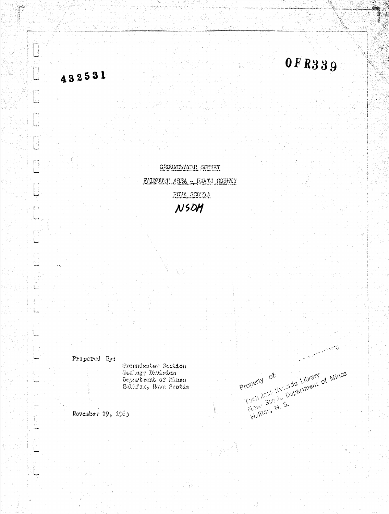

# 432531

0FR339

والمضبيع يسترهم والمسابقة

Kichlich N. S. (1978) C. Mines

Property of:

厚

GROUNDWATER SHEVEY FALMOUTI AREA : LANTS COUNTY HOVA SCOULA NSDM

Frepared By:

Groundwater Saction Geology Division Department of Mines Halifano Hova Scotia

November 19, 1965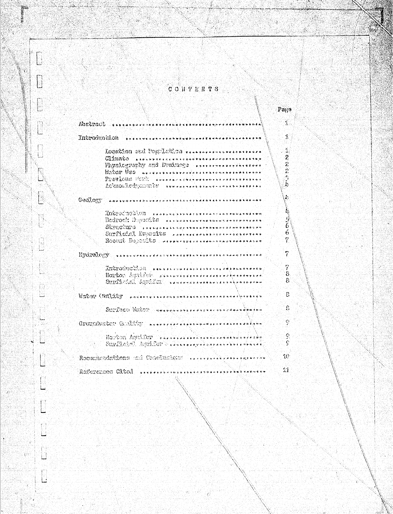$C$  O H T E N T S  $\mathbf{Pa}$ ge  $\mathcal{L}_{\mathcal{M}}$ Abstract.  $\hat{\mathbf{y}}$  $\frac{1}{2} \frac{1}{2} \frac{1}{2} \frac{1}{2} \frac{1}{2} \frac{1}{2} \frac{1}{2} \frac{1}{2} \frac{1}{2} \frac{1}{2} \frac{1}{2} \frac{1}{2} \frac{1}{2} \frac{1}{2} \frac{1}{2} \frac{1}{2} \frac{1}{2} \frac{1}{2} \frac{1}{2} \frac{1}{2} \frac{1}{2} \frac{1}{2} \frac{1}{2} \frac{1}{2} \frac{1}{2} \frac{1}{2} \frac{1}{2} \frac{1}{2} \frac{1}{2} \frac{1}{2} \frac{1}{2} \frac{$  $\tilde{\mathcal{L}}$ Losation and Puppletton versurencement assess 2  $CD58808$  . Executive access to the executive second text of the s  $\mathbf{r}$ Favoiceraphy and Drainage secondence thereses  $\ddot{\Omega}$  $W_0$ 207  $\overline{0}$ 59  $W_0$  , we expect the restablished to a state of the set b)  $\mathbf{I}_i$ ACSHOWLEdGEDULLE FUNTALITYPE CARE CHARLES ATTELL  $\mathbf{A}$ GOOLOGY Announcement of the art of the state of the state of the state of À,  $\text{RRS} = \text{RRS} + \text{RRS} + \text{RRS} + \text{RRS} + \text{RRS} + \text{RRS} + \text{RRS} + \text{RRS} + \text{RRS} + \text{RRS} + \text{RRS} + \text{RRS} + \text{RRS} + \text{RRS} + \text{RRS} + \text{RRS} + \text{RRS} + \text{RRS} + \text{RRS} + \text{RRS} + \text{RRS} + \text{RRS} + \text{RRS} + \text{RRS} + \text{RRS} + \text{RRS} + \text{RRS} + \text{RRS} + \text{RRS} + \text{RRS} + \text{$  $\frac{5}{6}$ Bedrock Dayonits Freisesservensselengsexenssen  $SUSC.0123$  , response to a second response and the number of Surficial Deposits ..............................  $\hat{\alpha}$  $\mathcal{I}$ Rocent Depoble presentations and the property  $\dot{7}$  $\frac{\text{Hyd3301cm}}{\text{Hyd3301cm}}$ Ÿ. INGNONICATION . FERRAL POWERFOR EXECUTIVES  $\dot{\mathcal{S}}$ HOPCON ASSISSOR NEEL OFFICERS AND CONTRACTORS AND REAL SunMcAdi Aguillor - sansayaran sansayaran kasasaran  $\mathfrak{g}$ Watos Cantator commences in completed in the management  $\mathcal{B}$ Suppose Waber Companies of the service of the low  $\hat{\mathbf{g}}$ Groundwitch God. Sy: assessed there who was a reserved  $\mathcal{L}_j^{\mathbf{a}_j}$ Noston Agiil Cor exemplazazionen erritmentera.  $\mathcal{C}_2$ ÿ  $10^{\circ}$ Recentacudations and Conclusions ..................  $\bar{1}1$ References Cited ......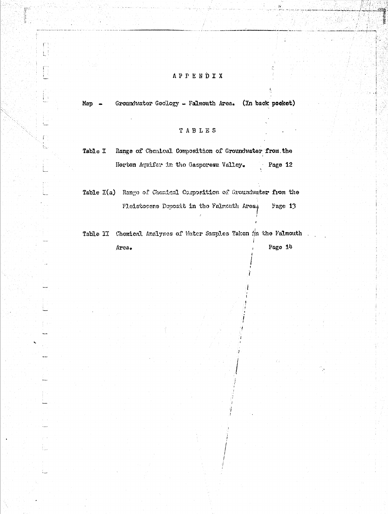### **APPENDIX**

Groundwater Geology - Falmouth Area. (In back pocket) Map -

Ĥ

i<br>Album

#### TABLES

Table I Range of Chemical Composition of Groundwater from the Page 12 Horton Aquifer in the Gasperesu Valley.

Table I(a) Range of Chomical Composition of Groundwater from the Fleistocene Deposit in the Falmouth Area, Page 13

Table II Chemical Analyses of Water Samples Takon #in the Falmouth Page 14 Area.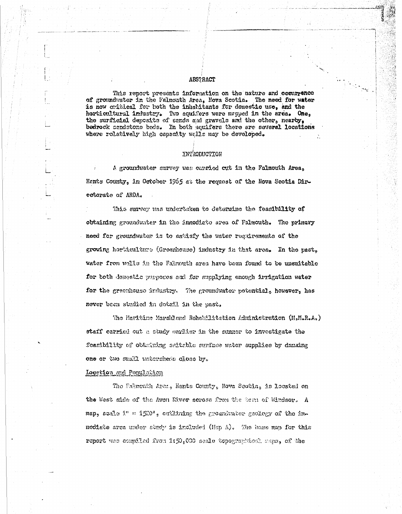#### ABSTRACT

This report presents information on the nature and cocurrence of groundwater in the Falmouth Area, Nova Scotla. The need for water is now critted for both the inhabitants for domestic use, and the horticultural industry. Two aquifers were mapped in the area. One, the surficial deposits of sends and gravels and the other, nearby, bedrock sandstone beds. In both equifers there are several locations where rolatively high capacity wells may be developed.

#### INTRODUCTION

A groundwater survey was carried cut in the Falmouth Area, Hants County, in October 1965 at the request of the Nova Scotia Directorate of ARDA.

This survey was undertaken to determine the feasibility of obtaining groundwater in the immediate area of Falmouth. The primary need for groundwater is to satisfy the water requirements of the growing horticalture (Greenhouse) industry in that area. In the past, water from wolls in the Falmouth area have been found to be unsuitable for both demostic purposes and for supplying enough irrigation water for the greenhouse industry. The groundwater potential, however, has never been studied in dotail in the past.

The Maritime Marshland Rehabilitation Administration (M.M.R.A.) staff carried out a study earlier in the summer to investigate the foaribility of obtaining saitable surface water supplies by damaing one or two small vatersheds close by.

Location and Ponulation

The Falmonth Aren, Hants County, Nova Section, is located on the West side of the Aven Niver seress from the test of Windsor. A map, scale i" = 1520', outlining the groundwater geology of the immedists area under study is included (Hap A). The base map for this report was compiled from 1:50,000 seale topographical saps, of the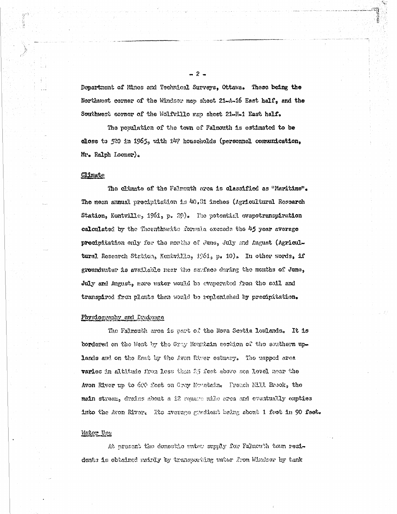Department of Mines and Technical Surveys, Ottawa. These being the Northwest corner of the Windsor map sheet 21-A-16 East half, and the Southwest sorner of the Wolfvillo map sheet 21-H-1 East helf.

The population of the town of Falmouth is estimated to be close to 520 in 1965, with  $14$ ? households (personnel communication, Mr. Ralph Loomer).

#### **Climate**

The climate of the Falmouth area is classified as "Maritime". The mean annual precipitation is 40.81 indhes (Agricultural Research Station, Kentville, 1961, p. 29). The potential evapotranspiration calculated by the Thornthweite formula exceeds the 45 year average precipitation only for the months of June, July and August (Agricultural Research Statick, Kentville, 1961, p. 10). In other words, if groundwater is available near the surface during the months of June, July and August, none water would be evaporated from the seil and transpired from plants then would be replenished by precipitation.

#### Physiography and Drainage

The Falmonth area is part of the Nova Scotte lowlands. It is bordered on the West by the Gray Monntain section of the southern uplands and on the East by the Aven River estudy. The napped area varies in altitude from less than 25 feet above sea level near the Avon River up to 600 feet on Grey Mountain. Preach NIH. Brook, the mein stream, drains about a 12 square mile orea and eventually empties into the Avon River. Its average gradient being about 1 feet in 90 feet.

#### Water Use

At present the demoside water supply for Falmeuth tem residents is obtained matrily by transporting water from Windsor by tank

 $-2 -$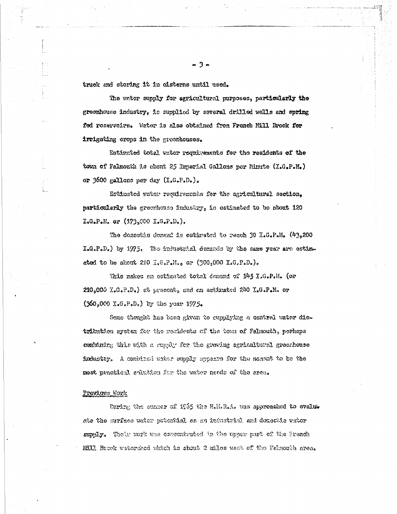truck and storing it in cisterns until used.

The water supply for agricultural purposes, particularly the greenhouse industry, is supplied by several drilled walls and spring fed reserveirs. Water is also obtained from French Mill Brook for irrigating erops in the greenhouses.

Estimated total water requirements for the residents of the town of Falmouth is about 25 Maperial Gallons per Minute (I.G.P.M.) or 3600 gallons per day  $(I_{*}G_{*}P_{*}D_{*})_{*}$ 

Estimated water requirements for the agricultural section. particularly the greenhouse industry, in estimated to be about 120  $I_{\bullet}G_{\bullet}P_{\bullet}N_{\bullet}$  or  $(173,000 \text{ J}_{\bullet}G_{\bullet}P_{\bullet}D_{\bullet})_{\bullet}$ 

The domestic domand is estimated to reach 30 I.G.P.M.  $(43,200)$ I.G.P.D.) by 1975. The inductiel demands by the same year are estimated to be about 210  $T_xG_xP_xM_{xy}$  or (300,000  $T_xG_xP_xD_x)$ ,

This makes an estimated total domand of 145 I.G.P.N. (or  $210,000$  K.G.P.D.) at present, and an estimated 240 K.G.P.M. or  $(360,000 \text{ I} - G - P - D)$  by the year 1975.

Some thought has been given to supplying a central uster distribution system for the residents of the town of Falmouth, perhaps containing this with a supply for the graving agricultural greenhouse industry. A combined water supply appears for the nonent to be the most practical solution for the water needs of the area.

#### Province Work

Daring the summer of 1965 the N.H.R.A. was approached to evalue ate the surface water potential as an industrial and democide water supply. Their work was concentrated in the upper part of the French Mill Brook watersked which is shout 2 miles west of the Falsouth srea.

- 3 -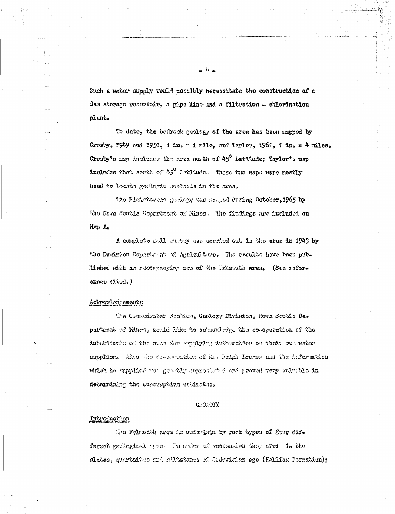Such a water supply would possibly necessitate the construction of a dam storage reserveir, a pipe line and a filtration - chlorination plant.

To date, the bedrock geology of the area has been mapped by Crosby, 1949 and 1950, 1  $2n_r = 1$  wile, and Taylor, 1961, 1 in. = 4 miles. Crosby's map includes the area north of 45° Latitude; Taylor's map includes that setth of  $\mathcal{H}^0$  Latitude. These two maps were mostly used to locate goologie contacts in the area.

The Fleisteemen geelogy was mapped during October, 1965 by the Nova Scotla Dopertment of Mines. The fludings are included on Map A.

A complete soll, survey was cerried out in the ares in 1943 by the Deminion Department of Agriculture. The results have been published with an accompanying map of the Falmuth area. (See referemmes cated.)

#### Ackanaul adgements

The Chommiwater Soction, Gawlegy Division, Hova Scotia Deof to somewhat the state to the manufacture of early to transful of the inhabitants of the orea for emppiping information on their own water supplies. Also the co-sperifien of Mr. Ralph Leemer and the information which he supplied was gracily approclated and proved very valuable in determining the concumption estimates.

#### GEOLOGY

#### <u>Untroduction</u>

The Faincath area is underlain by rock types of four dif. forent geological ages. In order of succession they are: i. the slates, quartaites and allistenes of Ordevician ege (Hellfax Formation);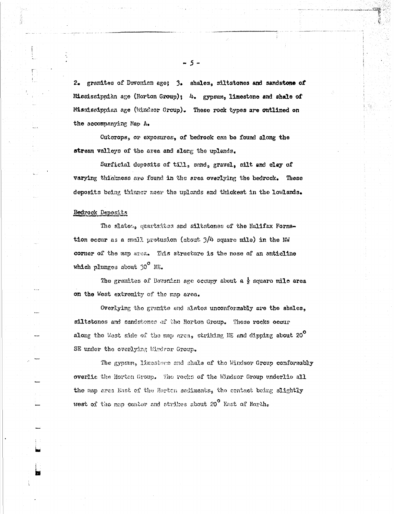2. granites of Devonian ege; 3. shales, siltstones and sandstone of Mississippian age (Horton Group); 4. gypsum, limestone and shale of Mississippian age (Windsor Group). These rock types are outlined on the accompanying Map A.

Outcrops, or exposures, of bedrock can be found along the stream valloys of the area and along the uplands.

Surficial deposits of till, sand, gravel, silt and clay of varying thiskness are found in the area overlying the bedreck. These deposits being thinner near the uplands and thickest in the lowlands.

#### Bedrock Deposits

The slates, quartzites and siltstones of the Halifax Formstion occur as a small protusion (about  $3/4$  square mile) in the NW corner of the map area. This structure is the nose of an anticline which plunges about  $30^{\circ}$  NE.

The granites of Devonian age occupy about a  $\frac{1}{2}$  square mile area on the West extremity of the map area.

Overlying the granite and slates unconformably are the shales, siltstones and sandstones of the Horton Group. These rocks occur along the West side of the map area, striking NE and dipping about 20 $^{\circ}$ SE under the everlying Windrer Group.

The gypsum, limestone and shale of the Windsor Group conformably overlie the Horton Group. The rocks of the Windsor Group underlie all the map area East of the Horton sediments, the contact being slightly west of the map center and strikes about 20 $^{\circ}$  East of North.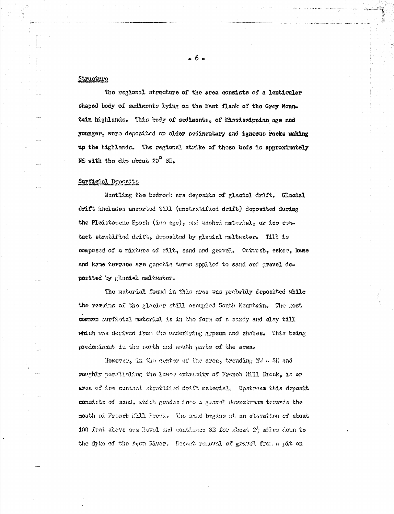#### Structure

The regional structure of the area consists of a lenticular shaped body of sediments lying on the East flank of the Grey Mountain highlends. This body of sediments, of Mississippian age and younger, were deposited on older sedimentary and igneous rocks making up the highlends. The regional strike of these beds is approximately NE with the dip about 20° SE.

#### Surficial Deposits

Montling the bedrock are deposits of glacisl drift. Glacial drift includes uncerted till (unstratified drift) deposited during the Pleistocens Epoch (inc age), and washed material, or ice comtact stratified drift, deposited by glacial meltwater. Till is composed of a mixture of silt, sand and gravel. Ontwash, esker, kame and keme terrace are genette terms applied to sand and gravel deposited by glacial meltwater.

The material found in this area was probably deposited while the remains of the glacier still occupied South Nountsin. The Rost common surficial material is in the form of a sandy and clay till which was derived from the underlying gypsum and shales. This being predominant in the north and meeth parts of the area.

However, in the center of the area, trending MW . SE and roughly parcllolang the lower extractiv of French Mill Brook, is an area of ice contact stratified drift material. Upstream this deposit consists of saud, which grades into a gravel dewnstream tenares the mouth of French Mill Ereck. The sand begins at an elevation of about 100 feet above sea level and continues SE for about  $2\frac{4}{3}$  miles down to the dyke of the Agon River. Recent removal of gravel from a pit on

 $-6-$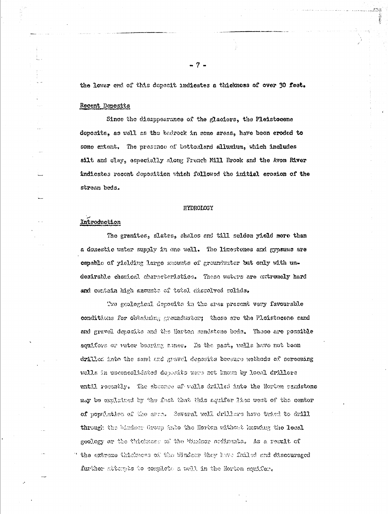the lower end of this depenit indicates a thickness of over 30 feet.

#### Recent Deposits

Since the disappearance of the glaciers, the Pleistocene deposits, as well as the bedrock in some areas, have been eroded to some extent. The pressnee of bottomland allumium, which includes silt and clay, especially along French Mill Brook and the Avon River indicates recent deposition which followed the initial eresion of the stream beds.

#### HYDROLOGY

### Introduction

The granites, slates, shales and till seldom yield more than a domestic water supply in one well. The limestenes and gypsums are capable of yielding large secunts of groundwater but only with undesirable chemical characteristics. These waters are extremely hard and contain high snownts of total dissolved solids.

Two geological deposits in the area present very favourable conditions for obtaining groundwater; those are the Pleistocene sand and gravel deposits and the Horton sendstene brds. These are possible squifors or water bearing amos. In the past, wells have not been drilled into the sand and gravel deposits because methods of sersoning wells in upconcolidated deposits were not known by local drillers until resembly. The absence of wells drilled into the Horton sandstone may be oxplained by the fast that this aquifer lies west of the center of population of the arms. Several well drillers have tried to drill through the windser Group Anto the Horton ulthout Monday the local geelogy or the thickness of the Whaker sediments. As a result of the extreme thickness of the Windsor they have failed and discouraged further attempts to complete a well in the Rerton aquifer.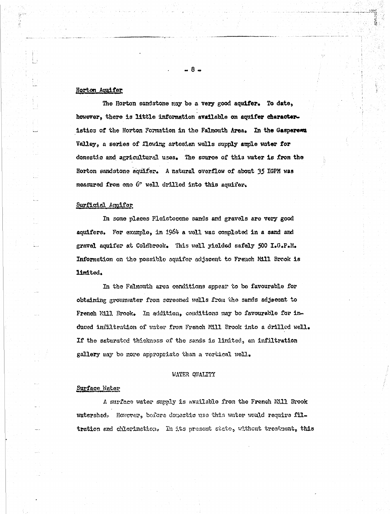#### Horton Aquifer

The Horton sandstone may be a very good aquifer. To date, however, there is little information available on aquifer characteristics of the Horton Formation in the Falmouth Area. In the Gasperexu Valley, a series of flowing artesian wells supply ample water for domestic and agricultural uses. The source of this water is from the Horton sandstone aquifer. A natural overflow of about 35 IGPM was measured from one 6" well drilled into this aquifer.

#### Surficial Aquifor

In some places Pleistocone sands and gravels are very good aquifers. For example, in 1964 a well was completed in a sand and gravel aquifer at Coldbrook. This well yielded safely 500 I.G.P.M. Information on the possible aquifer adjacent to French M11 Brook is limited.

In the Falmouth area conditions appear to be favourable for obtaining grounwater from screened wells from the sands adjacent to French Mill. Brook. In addition, conditions may be favourable for induced infiltration of water from French Mill Brook into a drilled well. If the saturated thickness of the sands is limited, an inflitration gallery may be more appropriate than a vertical well.

#### WATER QUALITY

#### Surface Water

A surface water supply is available from the French Mill Brook watershed. However, before domestic use this water would require filtration and chlorination. In its present state, without treatment, this

**R**.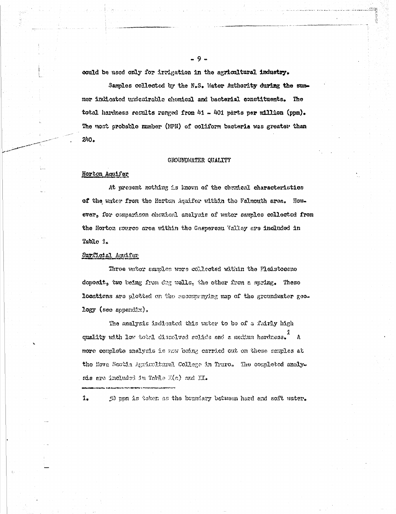could be used only for irrigation in the agricultural industry.

Samples collected by the N.S. Water Authority during the summer indicated undesirable chemical and bacterial constituents. The total hardness results ranged from 41 - 401 parts per million (ppm). The most probable mumber (NPN) of coliform bacteria was greater than  $240.$ 

#### GROUNDWATER QUALITY

#### Horton Aquifer

At present nothing is known of the chemical characteristics of the water from the Herton Aquifor within the Falmouth area. However, for comparison chemical analysis of water samples collected from the Horton source area within the Gaspersau Valley are included in Tablo 1.

#### SurCloial Aquifer

1.

Three water samles were collected within the Pleistosene doposit, two being from dug wells, the other from a spring. These locations are plotted on the seconomying map of the groundwater geo $logy$  (see appendix).

The analysis indicated this water to be of a fairly high quality with low total dissolved solids and a medium hardness. A more complete analysis is now being carried out on these samples at the Neve Seotia Agricultural College in Truro. The completed analysis are included in Table K(a) and II.

50 ppm is taken as the boundary botween hard and soft water.

 $-9 -$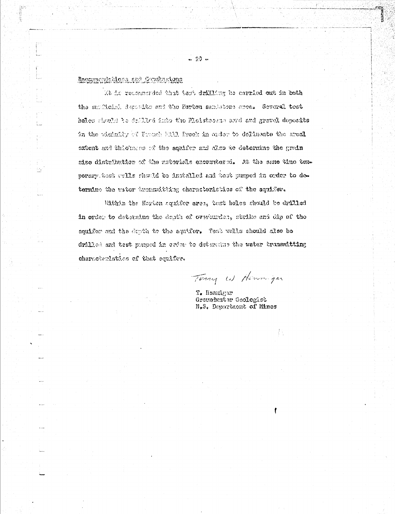### Recommendations and Constantions

 $\frac{1}{2}$ 

M is recommended that test drilling be carried ont in both the supflicial deposits and the Herton sambrions area. Several test holes should to drilled into the Plaistocene sand and gravel deposits in the wichnity of Franch F111 frock in order to delineate the areal oxtent and thiokaces of the squifer and diso to determine the grain size distribution of the materials excountered. At the sene time temporary best wells should be instailed and test pumped in order to determine the water twensmitting characteristics of the aquifer.

Within the Horton aquifer area, test holes should be drilled in order to determine the depth of overturder, strike and dip of the aquifer and the depth to the aquifer. Test wells should also be drilled and test pusped in order to determine the water transmitting characterlation of that squiffee.

Terry W Henninger

T. Hannigar Groundwater Geologist N.S. Department of Mines

载

薩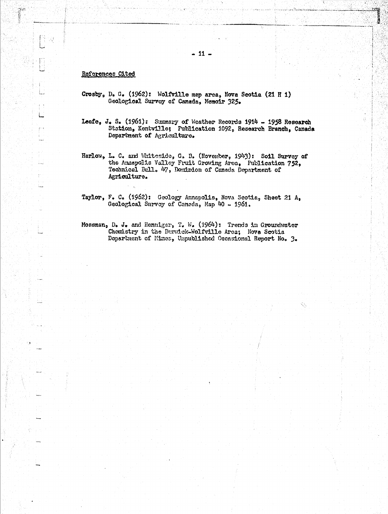isida. 医体膜

#### References Cited

**The** 

ŝβ,

- Crosby, D. G. (1962): Wolfville map area, Nova Scotia (21 H i) Geological Survey of Canada, Memoir 325.
- Leefe, J. S. (1961): Summary of Weather Records 1914 1958 Research Station, Kentville; Publication 1092, Research Branch, Canada Department of Agriculture.
- Harlow, L. C. and Whiteside, G. B. (November, 1943): Soil Survey of the Annapolis Valley Fruit Growing Area, Publication 752, Technical Eull. 47, Dominion of Canada Department of Agriculture.
- Taylor, F. C. (1962): Geology Annapolis, Nova Scotia, Sheet 21 A, Geological Survey of Canada, Map 40 - 1961.
- Mossman, D. J. and Hennigar, T. W. (1964): Trends in Groundwater Chemistry in the Beruick-Wolfville Area; Nova Scotia Department of Mines, Unpublished Occasional Report No. 3.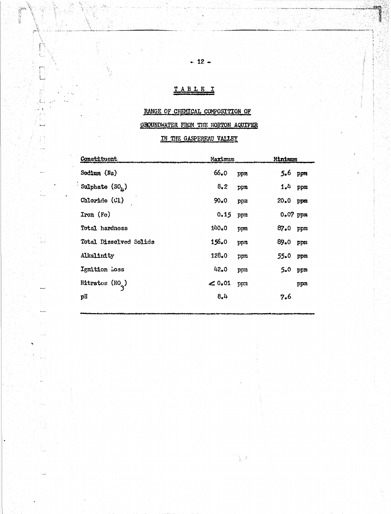# TABLEI

tion<br>Filipping<br>T

ن<br>سا

ŵ

# RANGE OF CHEMICAL COMPOSITION OF

# GROUNDWATER FROM THE HORTON AQUIFER

## IN THE GASPEREAU VALLEY

| <b>Constituent</b>          | Maximum                   | Minimum     |
|-----------------------------|---------------------------|-------------|
| Sodium (Na)                 | $66 - 0$<br>ppm           | 5.6<br>ppm  |
| Sulphate $(SO_{\mu})$       | 8,2<br>ppm                | 1.4<br>ppm  |
| Chloride (Cl)               | $90*0$<br>ppm             | 20.0<br>ppm |
| Iron (Fo)                   | 0.15<br>ppm               | 0.07 ppm    |
| Total hardness              | 140.0<br>ppm              | 87.0<br>ppm |
| Total Dissolved Solids      | 156.0<br>ppm              | 89.0<br>ppm |
| Alkalinity                  | 128.0<br>ppm              | 55.0<br>ppm |
| Ignition Loss               | 42.0<br>mqq               | 5.0<br>ppm  |
| Nitrates (NO <sub>3</sub> ) | $\mathscr{L}$ 0.01<br>ppm | ppn         |
| pH                          | 8.4                       | 7.6         |

 $\frac{1}{3}$  )

3. 정말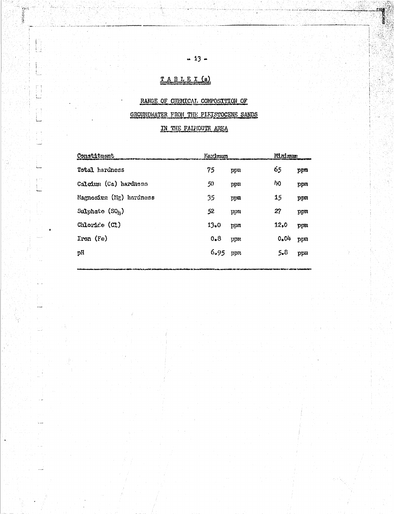# TABLEI(a)

**BERNAMENT** 

i.<br>Li

## RANGE OF CHENICAL COMPOSITION OF

 $-13 -$ 

### GROUNDWATER FROM THE PIFISTOCENE SANDS

### IN THE FALKOUTH AREA

| Constituent              | Maximum |         | Minimum       |     |
|--------------------------|---------|---------|---------------|-----|
| Total hardness           | 75      | ppm     | 65            | ppm |
| Calcium (Ca) hardness    | 50      | ppn     | $\mathcal{W}$ | mqq |
| Magnesium (Mg) hardness  | 35      | ppm     | 15            | ppm |
| Sulphate $(SO_{1})$      | 52      | וחכוכן  | 27            | ppm |
| Chloride (CI)            | $13-0$  | מזכוָנץ | 12.0          | ppm |
| $\text{Tron}(\text{Fe})$ | 0.8     | ppn     | 0.04          | ppm |
| pH                       | 6.95    | הומנו   | 5.8           | ppm |
|                          |         |         |               |     |